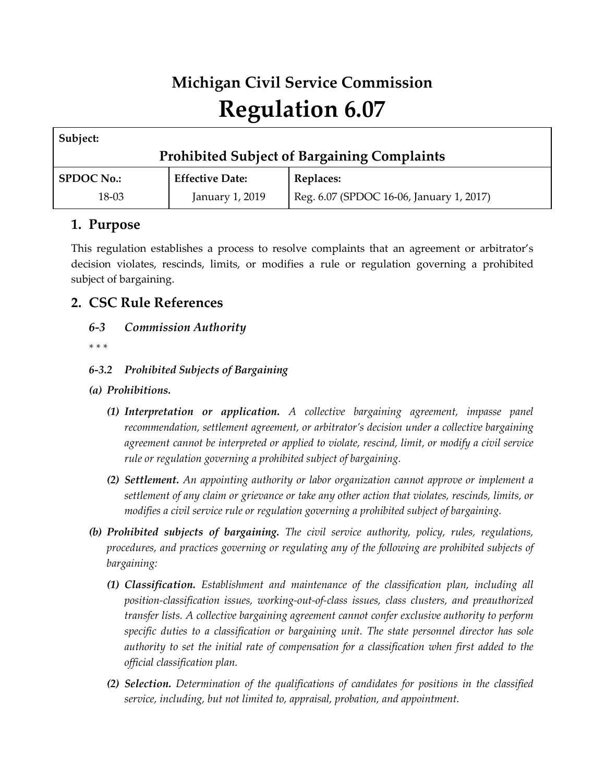# **Michigan Civil Service Commission Regulation 6.07**

| Subject:                                           |                        |                                          |
|----------------------------------------------------|------------------------|------------------------------------------|
| <b>Prohibited Subject of Bargaining Complaints</b> |                        |                                          |
| <b>SPDOC No.:</b>                                  | <b>Effective Date:</b> | Replaces:                                |
| 18-03                                              | January 1, 2019        | Reg. 6.07 (SPDOC 16-06, January 1, 2017) |

## **1. Purpose**

This regulation establishes a process to resolve complaints that an agreement or arbitrator's decision violates, rescinds, limits, or modifies a rule or regulation governing a prohibited subject of bargaining.

# **2. CSC Rule References**

- *6-3 Commission Authority*
- *\* \* \**

## *6-3.2 Prohibited Subjects of Bargaining*

- *(a) Prohibitions.*
	- *(1) Interpretation or application. A collective bargaining agreement, impasse panel recommendation, settlement agreement, or arbitrator's decision under a collective bargaining agreement cannot be interpreted or applied to violate, rescind, limit, or modify a civil service rule or regulation governing a prohibited subject of bargaining.*
	- *(2) Settlement. An appointing authority or labor organization cannot approve or implement a settlement of any claim or grievance or take any other action that violates, rescinds, limits, or modifies a civil service rule or regulation governing a prohibited subject of bargaining.*
- *(b) Prohibited subjects of bargaining. The civil service authority, policy, rules, regulations, procedures, and practices governing or regulating any of the following are prohibited subjects of bargaining:*
	- *(1) Classification. Establishment and maintenance of the classification plan, including all position-classification issues, working-out-of-class issues, class clusters, and preauthorized transfer lists. A collective bargaining agreement cannot confer exclusive authority to perform specific duties to a classification or bargaining unit. The state personnel director has sole authority to set the initial rate of compensation for a classification when first added to the official classification plan.*
	- *(2) Selection. Determination of the qualifications of candidates for positions in the classified service, including, but not limited to, appraisal, probation, and appointment.*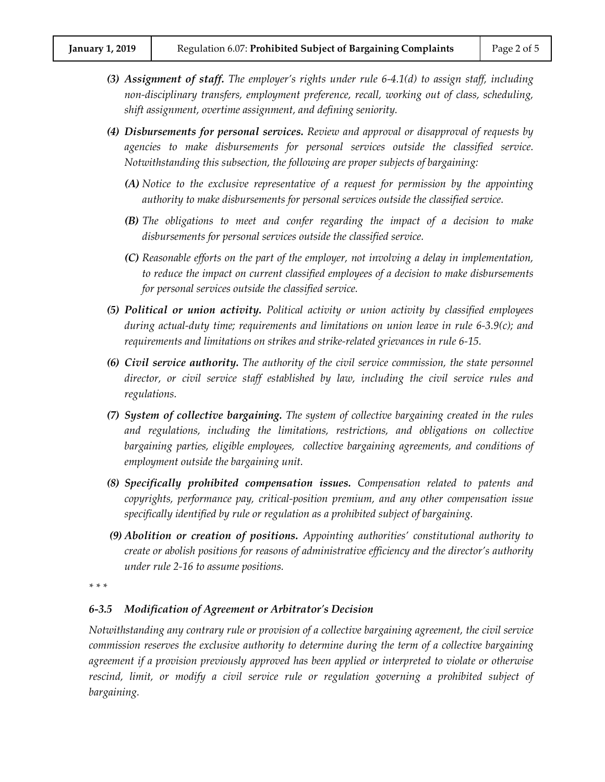- *(3) Assignment of staff. The employer's rights under rule 6-4.1(d) to assign staff, including non-disciplinary transfers, employment preference, recall, working out of class, scheduling, shift assignment, overtime assignment, and defining seniority.*
- *(4) Disbursements for personal services. Review and approval or disapproval of requests by agencies to make disbursements for personal services outside the classified service. Notwithstanding this subsection, the following are proper subjects of bargaining:*
	- *(A) Notice to the exclusive representative of a request for permission by the appointing authority to make disbursements for personal services outside the classified service.*
	- *(B) The obligations to meet and confer regarding the impact of a decision to make disbursements for personal services outside the classified service.*
	- *(C) Reasonable efforts on the part of the employer, not involving a delay in implementation, to reduce the impact on current classified employees of a decision to make disbursements for personal services outside the classified service.*
- *(5) Political or union activity. Political activity or union activity by classified employees during actual-duty time; requirements and limitations on union leave in rule 6-3.9(c); and requirements and limitations on strikes and strike-related grievances in rule 6-15.*
- *(6) Civil service authority. The authority of the civil service commission, the state personnel director, or civil service staff established by law, including the civil service rules and regulations.*
- *(7) System of collective bargaining. The system of collective bargaining created in the rules and regulations, including the limitations, restrictions, and obligations on collective bargaining parties, eligible employees, collective bargaining agreements, and conditions of employment outside the bargaining unit.*
- *(8) Specifically prohibited compensation issues. Compensation related to patents and copyrights, performance pay, critical-position premium, and any other compensation issue specifically identified by rule or regulation as a prohibited subject of bargaining.*
- *(9) Abolition or creation of positions. Appointing authorities' constitutional authority to create or abolish positions for reasons of administrative efficiency and the director's authority under rule 2-16 to assume positions.*
- *\* \* \**

#### *6-3.5 Modification of Agreement or Arbitrator's Decision*

*Notwithstanding any contrary rule or provision of a collective bargaining agreement, the civil service commission reserves the exclusive authority to determine during the term of a collective bargaining agreement if a provision previously approved has been applied or interpreted to violate or otherwise rescind, limit, or modify a civil service rule or regulation governing a prohibited subject of bargaining.*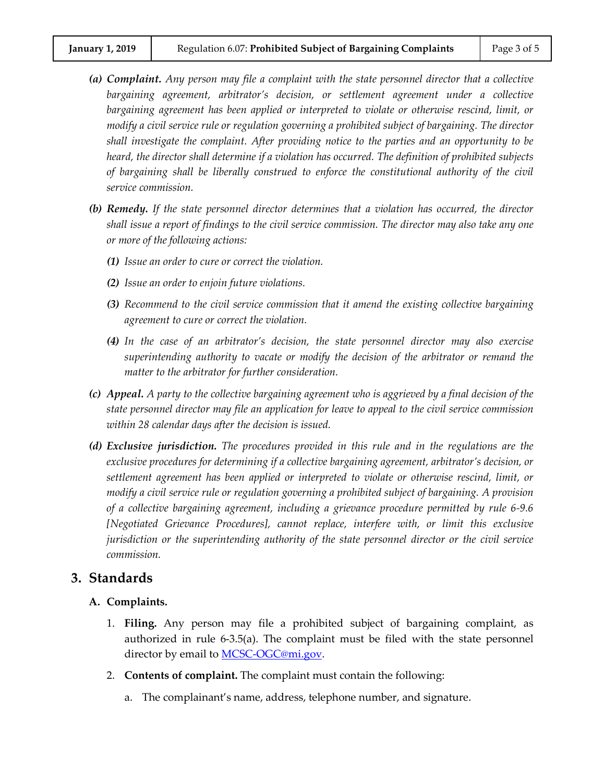- *(a) Complaint. Any person may file a complaint with the state personnel director that a collective bargaining agreement, arbitrator's decision, or settlement agreement under a collective bargaining agreement has been applied or interpreted to violate or otherwise rescind, limit, or modify a civil service rule or regulation governing a prohibited subject of bargaining. The director shall investigate the complaint. After providing notice to the parties and an opportunity to be heard, the director shall determine if a violation has occurred. The definition of prohibited subjects of bargaining shall be liberally construed to enforce the constitutional authority of the civil service commission.*
- *(b) Remedy. If the state personnel director determines that a violation has occurred, the director shall issue a report of findings to the civil service commission. The director may also take any one or more of the following actions:*
	- *(1) Issue an order to cure or correct the violation.*
	- *(2) Issue an order to enjoin future violations.*
	- *(3) Recommend to the civil service commission that it amend the existing collective bargaining agreement to cure or correct the violation.*
	- *(4) In the case of an arbitrator's decision, the state personnel director may also exercise superintending authority to vacate or modify the decision of the arbitrator or remand the matter to the arbitrator for further consideration.*
- *(c) Appeal. A party to the collective bargaining agreement who is aggrieved by a final decision of the state personnel director may file an application for leave to appeal to the civil service commission within 28 calendar days after the decision is issued.*
- *(d) Exclusive jurisdiction. The procedures provided in this rule and in the regulations are the exclusive procedures for determining if a collective bargaining agreement, arbitrator's decision, or settlement agreement has been applied or interpreted to violate or otherwise rescind, limit, or modify a civil service rule or regulation governing a prohibited subject of bargaining. A provision of a collective bargaining agreement, including a grievance procedure permitted by rule 6-9.6 [Negotiated Grievance Procedures], cannot replace, interfere with, or limit this exclusive jurisdiction or the superintending authority of the state personnel director or the civil service commission.*

### **3. Standards**

#### **A. Complaints.**

- 1. **Filing.** Any person may file a prohibited subject of bargaining complaint, as authorized in rule 6-3.5(a). The complaint must be filed with the state personnel director by email to **MCSC-OGC@mi.gov.**
- 2. **Contents of complaint.** The complaint must contain the following:
	- a. The complainant's name, address, telephone number, and signature.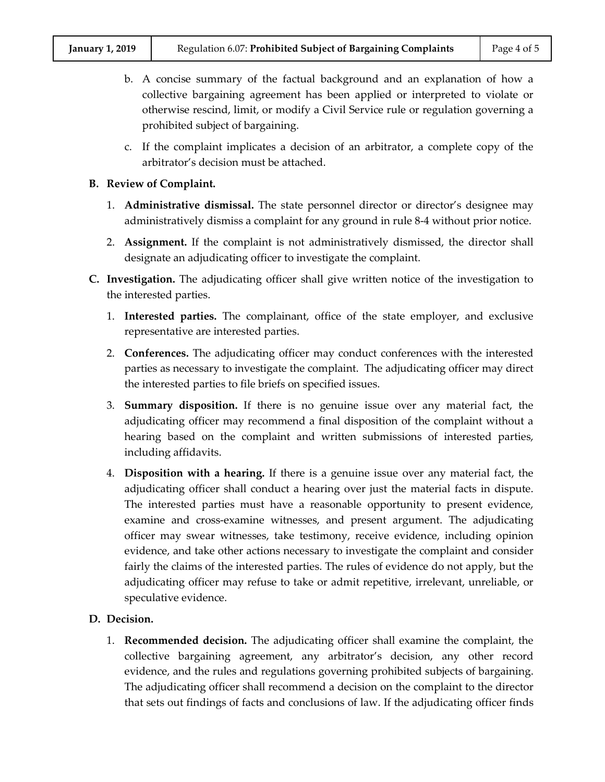- b. A concise summary of the factual background and an explanation of how a collective bargaining agreement has been applied or interpreted to violate or otherwise rescind, limit, or modify a Civil Service rule or regulation governing a prohibited subject of bargaining.
- c. If the complaint implicates a decision of an arbitrator, a complete copy of the arbitrator's decision must be attached.

#### **B. Review of Complaint.**

- 1. **Administrative dismissal.** The state personnel director or director's designee may administratively dismiss a complaint for any ground in rule 8-4 without prior notice.
- 2. **Assignment.** If the complaint is not administratively dismissed, the director shall designate an adjudicating officer to investigate the complaint.
- **C. Investigation.** The adjudicating officer shall give written notice of the investigation to the interested parties.
	- 1. **Interested parties.** The complainant, office of the state employer, and exclusive representative are interested parties.
	- 2. **Conferences.** The adjudicating officer may conduct conferences with the interested parties as necessary to investigate the complaint. The adjudicating officer may direct the interested parties to file briefs on specified issues.
	- 3. **Summary disposition.** If there is no genuine issue over any material fact, the adjudicating officer may recommend a final disposition of the complaint without a hearing based on the complaint and written submissions of interested parties, including affidavits.
	- 4. **Disposition with a hearing.** If there is a genuine issue over any material fact, the adjudicating officer shall conduct a hearing over just the material facts in dispute. The interested parties must have a reasonable opportunity to present evidence, examine and cross-examine witnesses, and present argument. The adjudicating officer may swear witnesses, take testimony, receive evidence, including opinion evidence, and take other actions necessary to investigate the complaint and consider fairly the claims of the interested parties. The rules of evidence do not apply, but the adjudicating officer may refuse to take or admit repetitive, irrelevant, unreliable, or speculative evidence.

#### **D. Decision.**

1. **Recommended decision.** The adjudicating officer shall examine the complaint, the collective bargaining agreement, any arbitrator's decision, any other record evidence, and the rules and regulations governing prohibited subjects of bargaining. The adjudicating officer shall recommend a decision on the complaint to the director that sets out findings of facts and conclusions of law. If the adjudicating officer finds